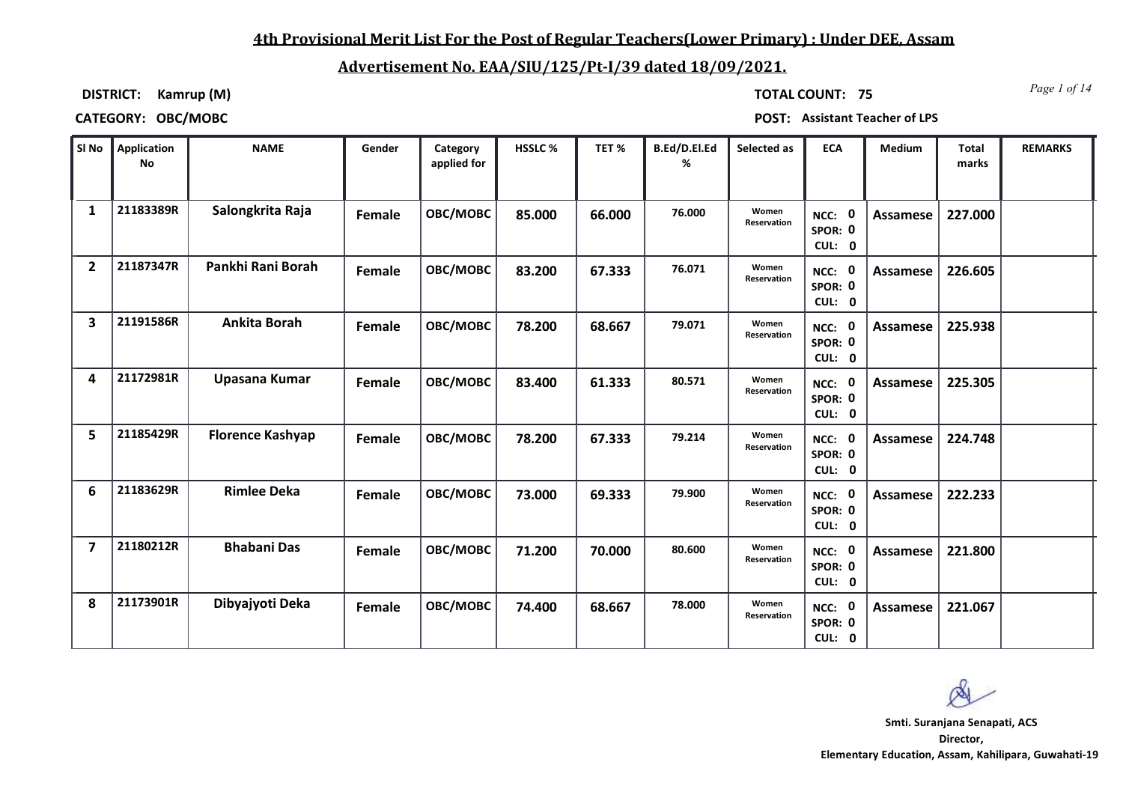## **4th Provisional Merit List For the Post of Regular Teachers(Lower Primary) : Under DEE, Assam**

# **Advertisement No. EAA/SIU/125/Pt-I/39 dated 18/09/2021.**

**DISTRICT: Kamrup (M)**

*Page 1 of 14* **TOTAL COUNT: 75**

| SI No          | Application<br><b>No</b> | <b>NAME</b>             | Gender | Category<br>applied for | HSSLC% | TET%   | B.Ed/D.El.Ed<br>% | Selected as                 | <b>ECA</b>                  | Medium          | <b>Total</b><br>marks | <b>REMARKS</b> |
|----------------|--------------------------|-------------------------|--------|-------------------------|--------|--------|-------------------|-----------------------------|-----------------------------|-----------------|-----------------------|----------------|
| 1              | 21183389R                | Salongkrita Raja        | Female | OBC/MOBC                | 85.000 | 66.000 | 76.000            | Women<br><b>Reservation</b> | NCC: 0<br>SPOR: 0<br>CUL: 0 | Assamese        | 227.000               |                |
| $\overline{2}$ | 21187347R                | Pankhi Rani Borah       | Female | OBC/MOBC                | 83.200 | 67.333 | 76.071            | Women<br>Reservation        | NCC: 0<br>SPOR: 0<br>CUL: 0 | Assamese        | 226.605               |                |
| 3              | 21191586R                | <b>Ankita Borah</b>     | Female | OBC/MOBC                | 78.200 | 68.667 | 79.071            | Women<br>Reservation        | NCC: 0<br>SPOR: 0<br>CUL: 0 | Assamese        | 225.938               |                |
| 4              | 21172981R                | Upasana Kumar           | Female | OBC/MOBC                | 83.400 | 61.333 | 80.571            | Women<br>Reservation        | NCC: 0<br>SPOR: 0<br>CUL: 0 | Assamese        | 225.305               |                |
| 5              | 21185429R                | <b>Florence Kashyap</b> | Female | OBC/MOBC                | 78.200 | 67.333 | 79.214            | Women<br>Reservation        | NCC: 0<br>SPOR: 0<br>CUL: 0 | Assamese        | 224.748               |                |
| 6              | 21183629R                | <b>Rimlee Deka</b>      | Female | OBC/MOBC                | 73.000 | 69.333 | 79.900            | Women<br>Reservation        | NCC: 0<br>SPOR: 0<br>CUL: 0 | <b>Assamese</b> | 222.233               |                |
| $\overline{7}$ | 21180212R                | <b>Bhabani Das</b>      | Female | OBC/MOBC                | 71.200 | 70.000 | 80.600            | Women<br>Reservation        | NCC: 0<br>SPOR: 0<br>CUL: 0 | Assamese        | 221.800               |                |
| 8              | 21173901R                | Dibyajyoti Deka         | Female | OBC/MOBC                | 74.400 | 68.667 | 78.000            | Women<br>Reservation        | NCC: 0<br>SPOR: 0<br>CUL: 0 | Assamese        | 221.067               |                |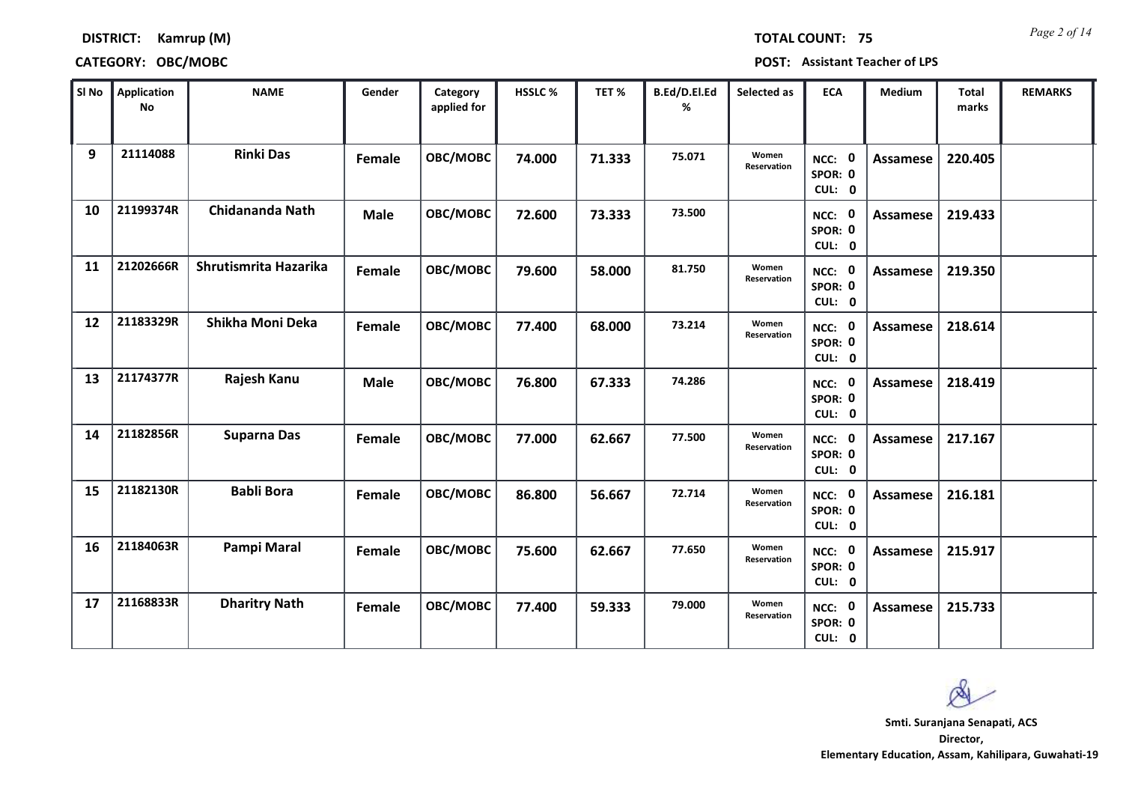*Page 2 of 14* **TOTAL COUNT: 75**

### **DISTRICT: Kamrup (M)**

### **CATEGORY: OBC/MOBC POST: Assistant Teacher of LPS**

| SI No | <b>Application</b><br><b>No</b> | <b>NAME</b>            | Gender      | Category<br>applied for | <b>HSSLC %</b> | TET %  | B.Ed/D.El.Ed<br>% | Selected as          | <b>ECA</b>                               | <b>Medium</b>   | <b>Total</b><br>marks | <b>REMARKS</b> |
|-------|---------------------------------|------------------------|-------------|-------------------------|----------------|--------|-------------------|----------------------|------------------------------------------|-----------------|-----------------------|----------------|
| 9     | 21114088                        | <b>Rinki Das</b>       | Female      | OBC/MOBC                | 74.000         | 71.333 | 75.071            | Women<br>Reservation | NCC: 0<br>SPOR: 0<br>CUL: 0              | <b>Assamese</b> | 220.405               |                |
| 10    | 21199374R                       | <b>Chidananda Nath</b> | <b>Male</b> | OBC/MOBC                | 72.600         | 73.333 | 73.500            |                      | NCC: 0<br>SPOR: 0<br>CUL: 0              | Assamese        | 219.433               |                |
| 11    | 21202666R                       | Shrutismrita Hazarika  | Female      | OBC/MOBC                | 79.600         | 58.000 | 81.750            | Women<br>Reservation | NCC: 0<br>SPOR: 0<br>CUL: 0              | <b>Assamese</b> | 219.350               |                |
| 12    | 21183329R                       | Shikha Moni Deka       | Female      | OBC/MOBC                | 77.400         | 68.000 | 73.214            | Women<br>Reservation | $\mathbf 0$<br>NCC:<br>SPOR: 0<br>CUL: 0 | <b>Assamese</b> | 218.614               |                |
| 13    | 21174377R                       | Rajesh Kanu            | <b>Male</b> | OBC/MOBC                | 76.800         | 67.333 | 74.286            |                      | NCC: 0<br>SPOR: 0<br>CUL: 0              | <b>Assamese</b> | 218.419               |                |
| 14    | 21182856R                       | <b>Suparna Das</b>     | Female      | OBC/MOBC                | 77.000         | 62.667 | 77.500            | Women<br>Reservation | NCC: 0<br>SPOR: 0<br>CUL: 0              | <b>Assamese</b> | 217.167               |                |
| 15    | 21182130R                       | <b>Babli Bora</b>      | Female      | OBC/MOBC                | 86.800         | 56.667 | 72.714            | Women<br>Reservation | NCC: 0<br>SPOR: 0<br>CUL: 0              | <b>Assamese</b> | 216.181               |                |
| 16    | 21184063R                       | Pampi Maral            | Female      | OBC/MOBC                | 75.600         | 62.667 | 77.650            | Women<br>Reservation | NCC: 0<br>SPOR: 0<br>CUL: 0              | <b>Assamese</b> | 215.917               |                |
| 17    | 21168833R                       | <b>Dharitry Nath</b>   | Female      | OBC/MOBC                | 77.400         | 59.333 | 79.000            | Women<br>Reservation | NCC: 0<br>SPOR: 0<br>CUL: 0              | Assamese        | 215.733               |                |

 $\infty$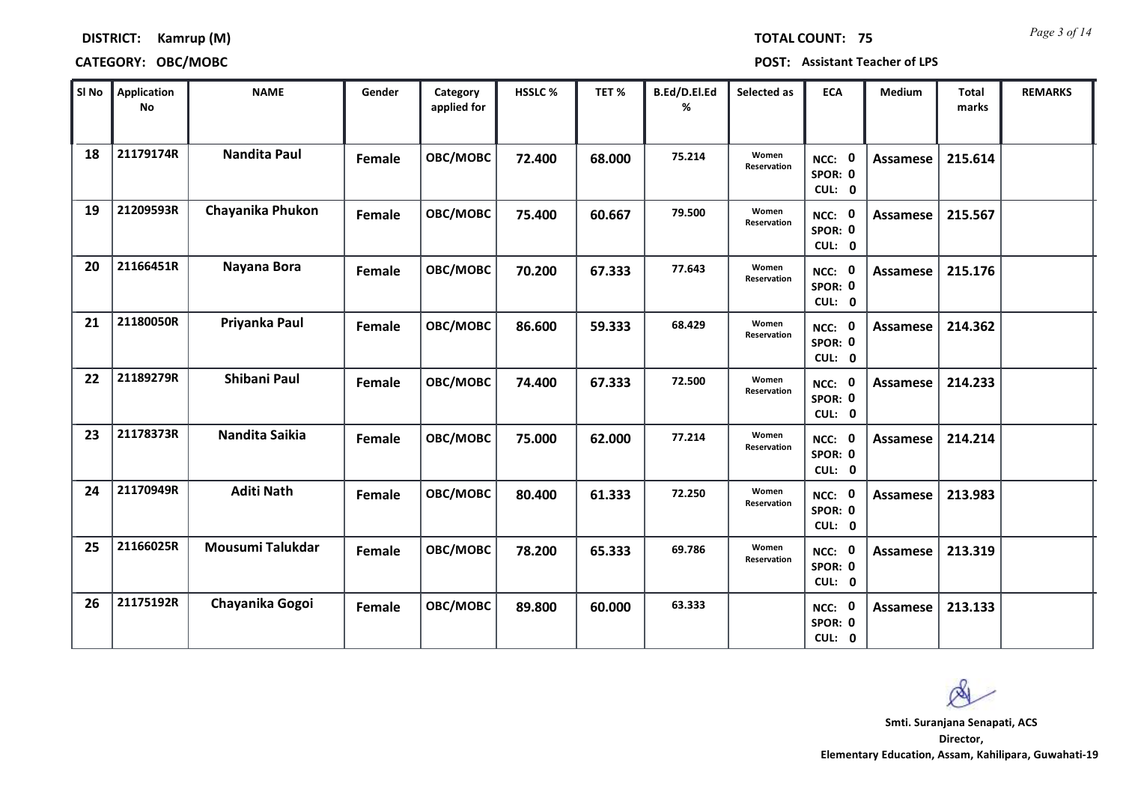*Page 3 of 14* **TOTAL COUNT: 75**

### **DISTRICT: Kamrup (M)**

| SI No | <b>Application</b><br>No | <b>NAME</b>         | Gender | Category<br>applied for | <b>HSSLC%</b> | TET %  | B.Ed/D.El.Ed<br>% | Selected as          | <b>ECA</b>                  | <b>Medium</b>   | Total<br>marks | <b>REMARKS</b> |
|-------|--------------------------|---------------------|--------|-------------------------|---------------|--------|-------------------|----------------------|-----------------------------|-----------------|----------------|----------------|
| 18    | 21179174R                | <b>Nandita Paul</b> | Female | OBC/MOBC                | 72.400        | 68.000 | 75.214            | Women<br>Reservation | NCC: 0<br>SPOR: 0<br>CUL: 0 | <b>Assamese</b> | 215.614        |                |
| 19    | 21209593R                | Chayanika Phukon    | Female | OBC/MOBC                | 75.400        | 60.667 | 79.500            | Women<br>Reservation | NCC: 0<br>SPOR: 0<br>CUL: 0 | Assamese        | 215.567        |                |
| 20    | 21166451R                | Nayana Bora         | Female | OBC/MOBC                | 70.200        | 67.333 | 77.643            | Women<br>Reservation | NCC: 0<br>SPOR: 0<br>CUL: 0 | Assamese        | 215.176        |                |
| 21    | 21180050R                | Priyanka Paul       | Female | OBC/MOBC                | 86.600        | 59.333 | 68.429            | Women<br>Reservation | NCC: 0<br>SPOR: 0<br>CUL: 0 | Assamese        | 214.362        |                |
| 22    | 21189279R                | Shibani Paul        | Female | OBC/MOBC                | 74.400        | 67.333 | 72.500            | Women<br>Reservation | NCC: 0<br>SPOR: 0<br>CUL: 0 | Assamese        | 214.233        |                |
| 23    | 21178373R                | Nandita Saikia      | Female | OBC/MOBC                | 75.000        | 62.000 | 77.214            | Women<br>Reservation | NCC: 0<br>SPOR: 0<br>CUL: 0 | Assamese        | 214.214        |                |
| 24    | 21170949R                | <b>Aditi Nath</b>   | Female | OBC/MOBC                | 80.400        | 61.333 | 72.250            | Women<br>Reservation | NCC: 0<br>SPOR: 0<br>CUL: 0 | Assamese        | 213.983        |                |
| 25    | 21166025R                | Mousumi Talukdar    | Female | OBC/MOBC                | 78.200        | 65.333 | 69.786            | Women<br>Reservation | NCC: 0<br>SPOR: 0<br>CUL: 0 | <b>Assamese</b> | 213.319        |                |
| 26    | 21175192R                | Chayanika Gogoi     | Female | OBC/MOBC                | 89.800        | 60.000 | 63.333            |                      | NCC: 0<br>SPOR: 0<br>CUL: 0 | Assamese        | 213.133        |                |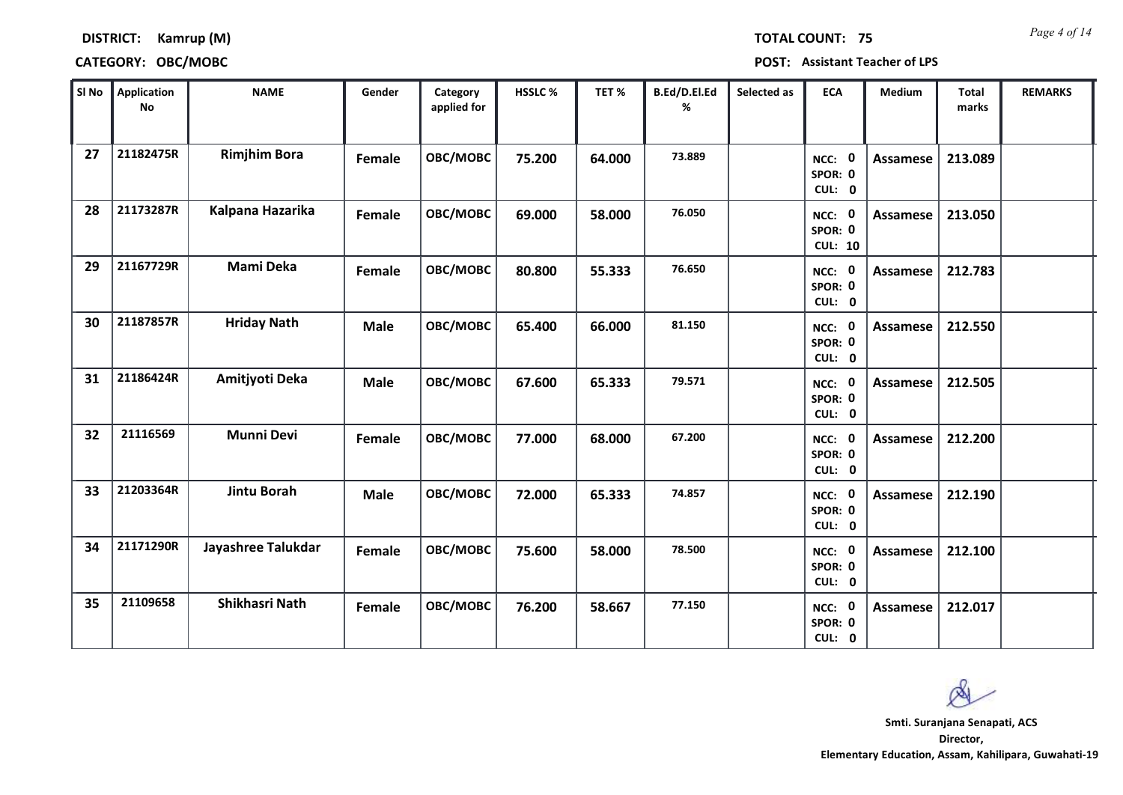*Page 4 of 14* **TOTAL COUNT: 75**

### **DISTRICT: Kamrup (M)**

| SI No | <b>Application</b><br><b>No</b> | <b>NAME</b>         | Gender      | Category<br>applied for | HSSLC % | TET%   | B.Ed/D.El.Ed<br>% | Selected as | <b>ECA</b>                          | Medium          | Total<br>marks | <b>REMARKS</b> |
|-------|---------------------------------|---------------------|-------------|-------------------------|---------|--------|-------------------|-------------|-------------------------------------|-----------------|----------------|----------------|
| 27    | 21182475R                       | <b>Rimjhim Bora</b> | Female      | OBC/MOBC                | 75.200  | 64.000 | 73.889            |             | NCC: 0<br>SPOR: 0<br>CUL: 0         | <b>Assamese</b> | 213.089        |                |
| 28    | 21173287R                       | Kalpana Hazarika    | Female      | OBC/MOBC                | 69.000  | 58.000 | 76.050            |             | NCC: 0<br>SPOR: 0<br><b>CUL: 10</b> | <b>Assamese</b> | 213.050        |                |
| 29    | 21167729R                       | Mami Deka           | Female      | OBC/MOBC                | 80.800  | 55.333 | 76.650            |             | NCC: 0<br>SPOR: 0<br>CUL: 0         | Assamese        | 212.783        |                |
| 30    | 21187857R                       | <b>Hriday Nath</b>  | <b>Male</b> | OBC/MOBC                | 65.400  | 66.000 | 81.150            |             | NCC: 0<br>SPOR: 0<br>CUL: 0         | <b>Assamese</b> | 212.550        |                |
| 31    | 21186424R                       | Amitjyoti Deka      | <b>Male</b> | OBC/MOBC                | 67.600  | 65.333 | 79.571            |             | NCC: 0<br>SPOR: 0<br>CUL: 0         | Assamese        | 212.505        |                |
| 32    | 21116569                        | <b>Munni Devi</b>   | Female      | OBC/MOBC                | 77.000  | 68.000 | 67.200            |             | NCC: 0<br>SPOR: 0<br>CUL: 0         | Assamese        | 212.200        |                |
| 33    | 21203364R                       | Jintu Borah         | <b>Male</b> | OBC/MOBC                | 72.000  | 65.333 | 74.857            |             | NCC: 0<br>SPOR: 0<br>CUL: 0         | Assamese        | 212.190        |                |
| 34    | 21171290R                       | Jayashree Talukdar  | Female      | OBC/MOBC                | 75.600  | 58.000 | 78.500            |             | NCC: 0<br>SPOR: 0<br>CUL: 0         | <b>Assamese</b> | 212.100        |                |
| 35    | 21109658                        | Shikhasri Nath      | Female      | OBC/MOBC                | 76.200  | 58.667 | 77.150            |             | NCC: 0<br>SPOR: 0<br>CUL: 0         | Assamese        | 212.017        |                |

Q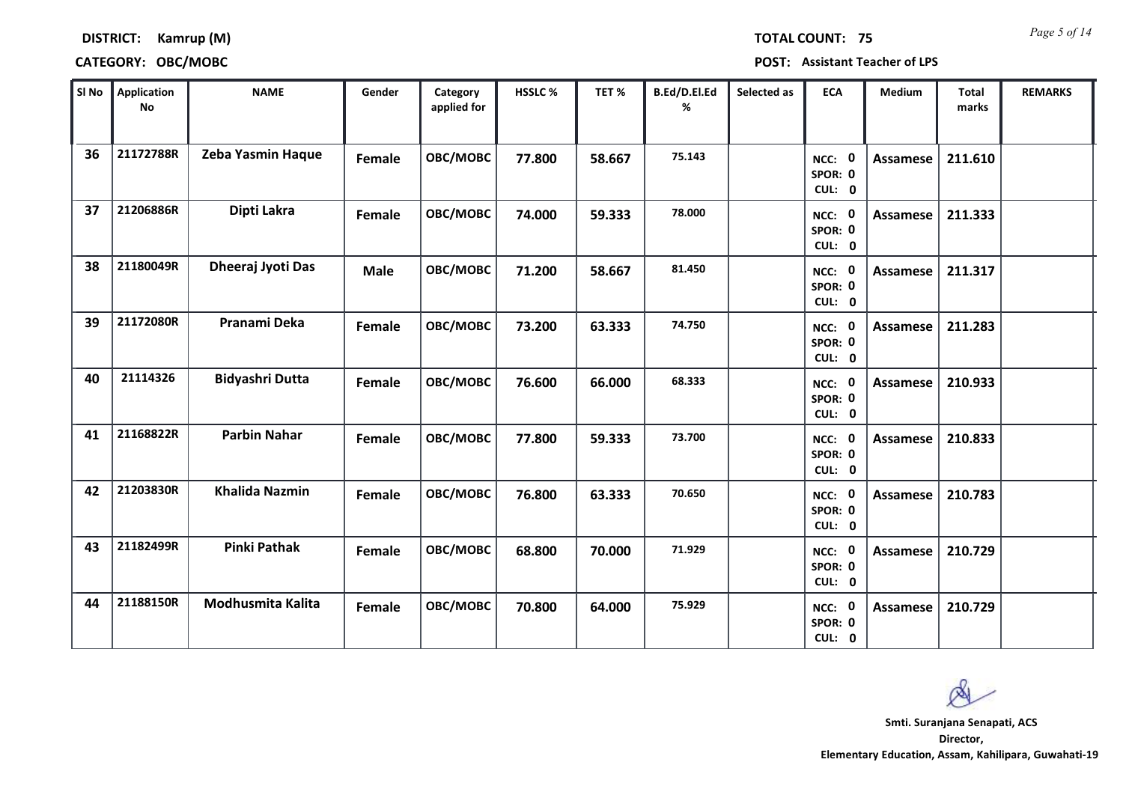*Page 5 of 14* **TOTAL COUNT: 75**

### **DISTRICT: Kamrup (M)**

| SI No | <b>Application</b><br><b>No</b> | <b>NAME</b>            | Gender      | Category<br>applied for | HSSLC % | TET%   | B.Ed/D.El.Ed<br>% | Selected as | <b>ECA</b>                                | Medium          | <b>Total</b><br>marks | <b>REMARKS</b> |
|-------|---------------------------------|------------------------|-------------|-------------------------|---------|--------|-------------------|-------------|-------------------------------------------|-----------------|-----------------------|----------------|
| 36    | 21172788R                       | Zeba Yasmin Haque      | Female      | OBC/MOBC                | 77.800  | 58.667 | 75.143            |             | NCC: 0<br>SPOR: 0<br>CUL: 0               | Assamese        | 211.610               |                |
| 37    | 21206886R                       | Dipti Lakra            | Female      | OBC/MOBC                | 74.000  | 59.333 | 78.000            |             | NCC: 0<br>SPOR: 0<br>CUL: 0               | Assamese        | 211.333               |                |
| 38    | 21180049R                       | Dheeraj Jyoti Das      | <b>Male</b> | OBC/MOBC                | 71.200  | 58.667 | 81.450            |             | NCC: 0<br>SPOR: 0<br>CUL: 0               | Assamese        | 211.317               |                |
| 39    | 21172080R                       | Pranami Deka           | Female      | OBC/MOBC                | 73.200  | 63.333 | 74.750            |             | $\mathbf{0}$<br>NCC:<br>SPOR: 0<br>CUL: 0 | Assamese        | 211.283               |                |
| 40    | 21114326                        | <b>Bidyashri Dutta</b> | Female      | OBC/MOBC                | 76.600  | 66.000 | 68.333            |             | NCC: 0<br>SPOR: 0<br>CUL: 0               | <b>Assamese</b> | 210.933               |                |
| 41    | 21168822R                       | <b>Parbin Nahar</b>    | Female      | OBC/MOBC                | 77.800  | 59.333 | 73.700            |             | NCC: 0<br>SPOR: 0<br>CUL: 0               | <b>Assamese</b> | 210.833               |                |
| 42    | 21203830R                       | <b>Khalida Nazmin</b>  | Female      | OBC/MOBC                | 76.800  | 63.333 | 70.650            |             | NCC: 0<br>SPOR: 0<br>CUL: 0               | <b>Assamese</b> | 210.783               |                |
| 43    | 21182499R                       | <b>Pinki Pathak</b>    | Female      | OBC/MOBC                | 68.800  | 70.000 | 71.929            |             | NCC: 0<br>SPOR: 0<br>CUL: 0               | <b>Assamese</b> | 210.729               |                |
| 44    | 21188150R                       | Modhusmita Kalita      | Female      | OBC/MOBC                | 70.800  | 64.000 | 75.929            |             | 0<br>NCC:<br>SPOR: 0<br>CUL: 0            | <b>Assamese</b> | 210.729               |                |

Ø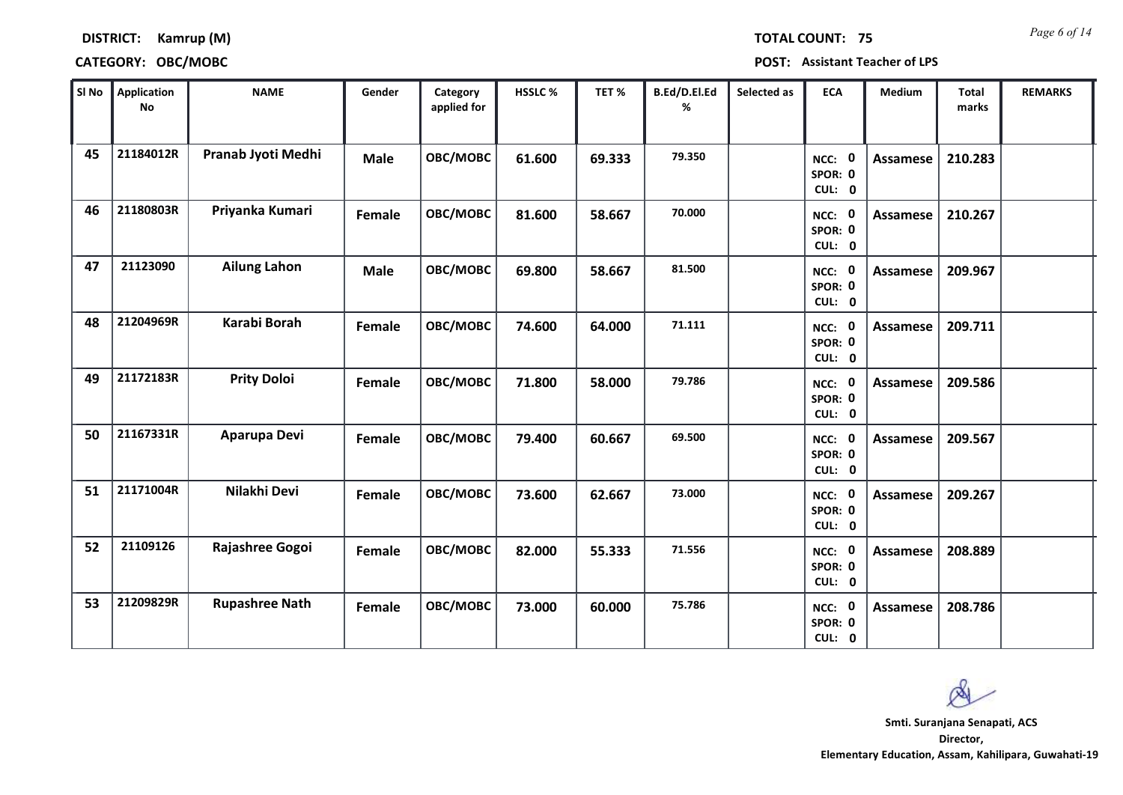*Page 6 of 14* **TOTAL COUNT: 75**

### **DISTRICT: Kamrup (M)**

| SI No | <b>Application</b><br>$\mathop{\mathsf{No}}$ | <b>NAME</b>           | Gender        | Category<br>applied for | HSSLC % | TET %  | B.Ed/D.El.Ed<br>% | Selected as | <b>ECA</b>                  | <b>Medium</b>   | <b>Total</b><br>marks | <b>REMARKS</b> |
|-------|----------------------------------------------|-----------------------|---------------|-------------------------|---------|--------|-------------------|-------------|-----------------------------|-----------------|-----------------------|----------------|
| 45    | 21184012R                                    | Pranab Jyoti Medhi    | <b>Male</b>   | OBC/MOBC                | 61.600  | 69.333 | 79.350            |             | NCC: 0<br>SPOR: 0<br>CUL: 0 | <b>Assamese</b> | 210.283               |                |
| 46    | 21180803R                                    | Priyanka Kumari       | Female        | OBC/MOBC                | 81.600  | 58.667 | 70.000            |             | NCC: 0<br>SPOR: 0<br>CUL: 0 | <b>Assamese</b> | 210.267               |                |
| 47    | 21123090                                     | <b>Ailung Lahon</b>   | <b>Male</b>   | OBC/MOBC                | 69.800  | 58.667 | 81.500            |             | NCC: 0<br>SPOR: 0<br>CUL: 0 | <b>Assamese</b> | 209.967               |                |
| 48    | 21204969R                                    | Karabi Borah          | <b>Female</b> | OBC/MOBC                | 74.600  | 64.000 | 71.111            |             | NCC: 0<br>SPOR: 0<br>CUL: 0 | Assamese        | 209.711               |                |
| 49    | 21172183R                                    | <b>Prity Doloi</b>    | Female        | OBC/MOBC                | 71.800  | 58.000 | 79.786            |             | NCC: 0<br>SPOR: 0<br>CUL: 0 | Assamese        | 209.586               |                |
| 50    | 21167331R                                    | Aparupa Devi          | Female        | OBC/MOBC                | 79.400  | 60.667 | 69.500            |             | NCC: 0<br>SPOR: 0<br>CUL: 0 | <b>Assamese</b> | 209.567               |                |
| 51    | 21171004R                                    | Nilakhi Devi          | Female        | OBC/MOBC                | 73.600  | 62.667 | 73.000            |             | NCC: 0<br>SPOR: 0<br>CUL: 0 | Assamese        | 209.267               |                |
| 52    | 21109126                                     | Rajashree Gogoi       | Female        | OBC/MOBC                | 82.000  | 55.333 | 71.556            |             | NCC: 0<br>SPOR: 0<br>CUL: 0 | <b>Assamese</b> | 208.889               |                |
| 53    | 21209829R                                    | <b>Rupashree Nath</b> | Female        | OBC/MOBC                | 73.000  | 60.000 | 75.786            |             | NCC: 0<br>SPOR: 0<br>CUL: 0 | Assamese        | 208.786               |                |

 $\infty$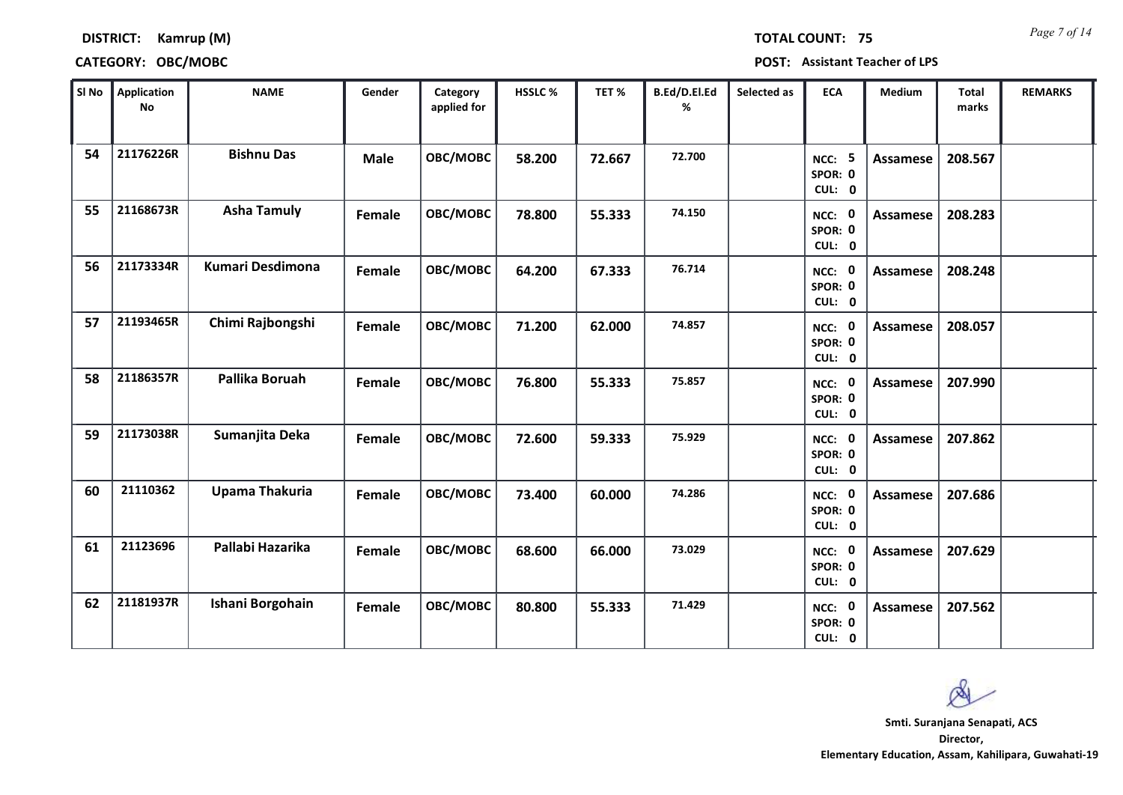*Page 7 of 14* **TOTAL COUNT: 75**

### **DISTRICT: Kamrup (M)**

### **CATEGORY: OBC/MOBC POST: Assistant Teacher of LPS**

| SI No | <b>Application</b><br>No | <b>NAME</b>             | Gender        | Category<br>applied for | HSSLC % | TET %  | B.Ed/D.El.Ed<br>% | Selected as | <b>ECA</b>                               | <b>Medium</b>   | Total<br>marks | <b>REMARKS</b> |
|-------|--------------------------|-------------------------|---------------|-------------------------|---------|--------|-------------------|-------------|------------------------------------------|-----------------|----------------|----------------|
| 54    | 21176226R                | <b>Bishnu Das</b>       | <b>Male</b>   | OBC/MOBC                | 58.200  | 72.667 | 72.700            |             | -5<br>NCC:<br>SPOR: 0<br>CUL: 0          | <b>Assamese</b> | 208.567        |                |
| 55    | 21168673R                | <b>Asha Tamuly</b>      | Female        | OBC/MOBC                | 78.800  | 55.333 | 74.150            |             | NCC: 0<br>SPOR: 0<br>CUL: 0              | <b>Assamese</b> | 208.283        |                |
| 56    | 21173334R                | <b>Kumari Desdimona</b> | <b>Female</b> | OBC/MOBC                | 64.200  | 67.333 | 76.714            |             | NCC: 0<br>SPOR: 0<br>CUL: 0              | <b>Assamese</b> | 208.248        |                |
| 57    | 21193465R                | Chimi Rajbongshi        | Female        | OBC/MOBC                | 71.200  | 62.000 | 74.857            |             | NCC: 0<br>SPOR: 0<br>CUL: 0              | Assamese        | 208.057        |                |
| 58    | 21186357R                | Pallika Boruah          | Female        | OBC/MOBC                | 76.800  | 55.333 | 75.857            |             | NCC: 0<br>SPOR: 0<br>CUL: 0              | <b>Assamese</b> | 207.990        |                |
| 59    | 21173038R                | Sumanjita Deka          | Female        | OBC/MOBC                | 72.600  | 59.333 | 75.929            |             | NCC: 0<br>SPOR: 0<br>CUL: 0              | <b>Assamese</b> | 207.862        |                |
| 60    | 21110362                 | <b>Upama Thakuria</b>   | Female        | OBC/MOBC                | 73.400  | 60.000 | 74.286            |             | NCC: 0<br>SPOR: 0<br>CUL: 0              | <b>Assamese</b> | 207.686        |                |
| 61    | 21123696                 | Pallabi Hazarika        | Female        | OBC/MOBC                | 68.600  | 66.000 | 73.029            |             | NCC: 0<br>SPOR: 0<br>CUL: 0              | <b>Assamese</b> | 207.629        |                |
| 62    | 21181937R                | Ishani Borgohain        | Female        | OBC/MOBC                | 80.800  | 55.333 | 71.429            |             | NCC:<br>$\mathbf 0$<br>SPOR: 0<br>CUL: 0 | <b>Assamese</b> | 207.562        |                |

 $\infty$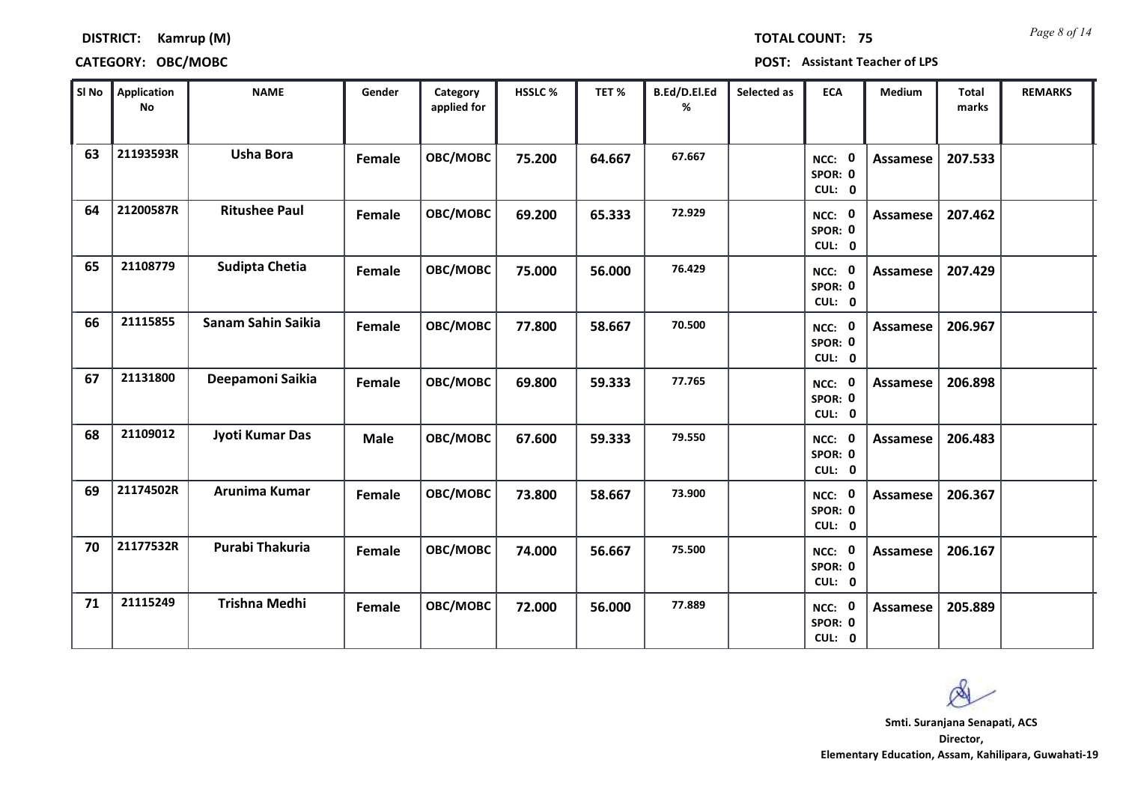*Page 8 of 14* **TOTAL COUNT: 75**

### **DISTRICT: Kamrup (M)**

| SI No | <b>Application</b><br>No | <b>NAME</b>            | Gender      | Category<br>applied for | <b>HSSLC%</b> | TET %  | B.Ed/D.El.Ed<br>% | Selected as | <b>ECA</b>                  | <b>Medium</b>   | Total<br>marks | <b>REMARKS</b> |
|-------|--------------------------|------------------------|-------------|-------------------------|---------------|--------|-------------------|-------------|-----------------------------|-----------------|----------------|----------------|
| 63    | 21193593R                | <b>Usha Bora</b>       | Female      | OBC/MOBC                | 75.200        | 64.667 | 67.667            |             | NCC: 0<br>SPOR: 0<br>CUL: 0 | <b>Assamese</b> | 207.533        |                |
| 64    | 21200587R                | <b>Ritushee Paul</b>   | Female      | OBC/MOBC                | 69.200        | 65.333 | 72.929            |             | NCC: 0<br>SPOR: 0<br>CUL: 0 | Assamese        | 207.462        |                |
| 65    | 21108779                 | <b>Sudipta Chetia</b>  | Female      | OBC/MOBC                | 75.000        | 56.000 | 76.429            |             | NCC: 0<br>SPOR: 0<br>CUL: 0 | Assamese        | 207.429        |                |
| 66    | 21115855                 | Sanam Sahin Saikia     | Female      | OBC/MOBC                | 77.800        | 58.667 | 70.500            |             | NCC: 0<br>SPOR: 0<br>CUL: 0 | Assamese        | 206.967        |                |
| 67    | 21131800                 | Deepamoni Saikia       | Female      | OBC/MOBC                | 69.800        | 59.333 | 77.765            |             | NCC: 0<br>SPOR: 0<br>CUL: 0 | Assamese        | 206.898        |                |
| 68    | 21109012                 | <b>Jyoti Kumar Das</b> | <b>Male</b> | OBC/MOBC                | 67.600        | 59.333 | 79.550            |             | NCC: 0<br>SPOR: 0<br>CUL: 0 | <b>Assamese</b> | 206.483        |                |
| 69    | 21174502R                | Arunima Kumar          | Female      | OBC/MOBC                | 73.800        | 58.667 | 73.900            |             | NCC: 0<br>SPOR: 0<br>CUL: 0 | <b>Assamese</b> | 206.367        |                |
| 70    | 21177532R                | Purabi Thakuria        | Female      | OBC/MOBC                | 74.000        | 56.667 | 75.500            |             | NCC: 0<br>SPOR: 0<br>CUL: 0 | <b>Assamese</b> | 206.167        |                |
| 71    | 21115249                 | <b>Trishna Medhi</b>   | Female      | OBC/MOBC                | 72.000        | 56.000 | 77.889            |             | NCC: 0<br>SPOR: 0<br>CUL: 0 | Assamese        | 205.889        |                |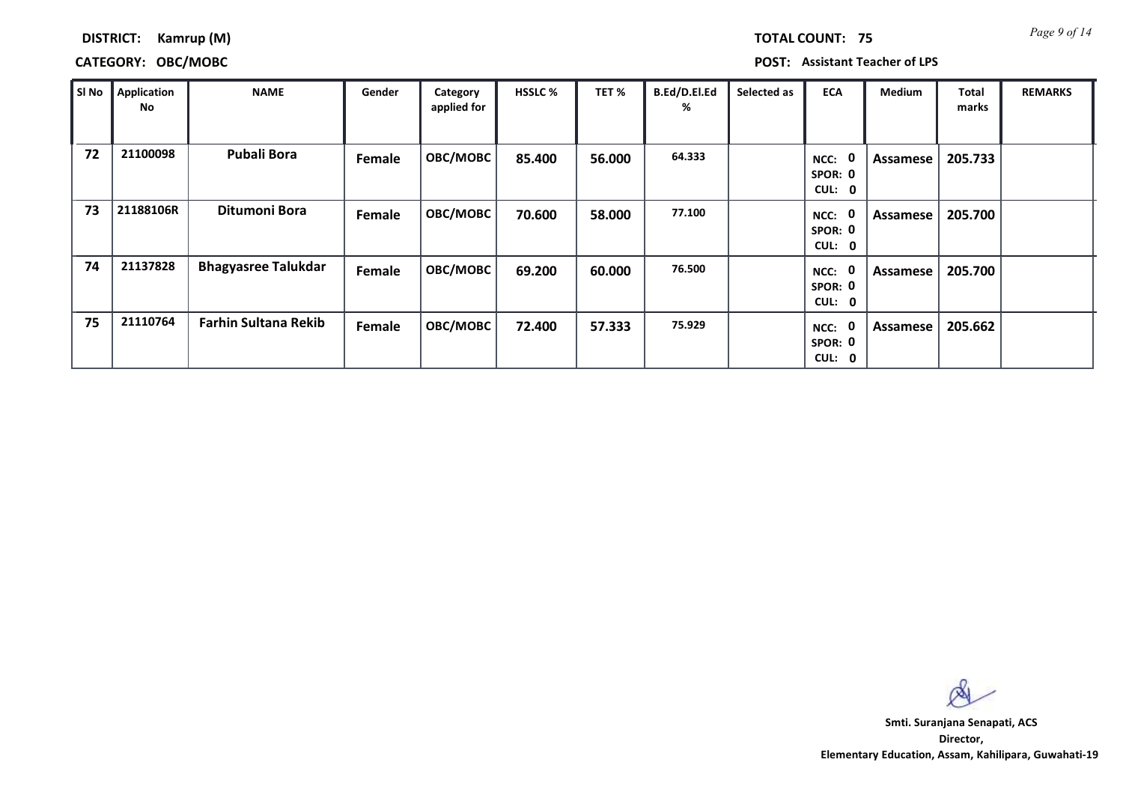*Page 9 of 14* **TOTAL COUNT: 75**

### **DISTRICT: Kamrup (M)**

### **CATEGORY: OBC/MOBC POST: Assistant Teacher of LPS**

| SI No | Application<br>No | <b>NAME</b>                 | Gender | Category<br>applied for | <b>HSSLC %</b> | TET %  | B.Ed/D.El.Ed<br>% | Selected as | <b>ECA</b>                               | <b>Medium</b> | Total<br>marks | <b>REMARKS</b> |
|-------|-------------------|-----------------------------|--------|-------------------------|----------------|--------|-------------------|-------------|------------------------------------------|---------------|----------------|----------------|
| 72    | 21100098          | <b>Pubali Bora</b>          | Female | OBC/MOBC                | 85.400         | 56.000 | 64.333            |             | $\mathbf 0$<br>NCC:<br>SPOR: 0<br>CUL: 0 | Assamese      | 205.733        |                |
| 73    | 21188106R         | Ditumoni Bora               | Female | OBC/MOBC                | 70.600         | 58.000 | 77.100            |             | 0<br>NCC:<br>SPOR: 0<br>CUL: 0           | Assamese      | 205.700        |                |
| 74    | 21137828          | <b>Bhagyasree Talukdar</b>  | Female | <b>OBC/MOBC</b>         | 69.200         | 60.000 | 76.500            |             | $\mathbf 0$<br>NCC:<br>SPOR: 0<br>CUL: 0 | Assamese      | 205.700        |                |
| 75    | 21110764          | <b>Farhin Sultana Rekib</b> | Female | OBC/MOBC                | 72.400         | 57.333 | 75.929            |             | 0<br>NCC:<br>SPOR: 0<br>CUL: 0           | Assamese      | 205.662        |                |

 $\infty$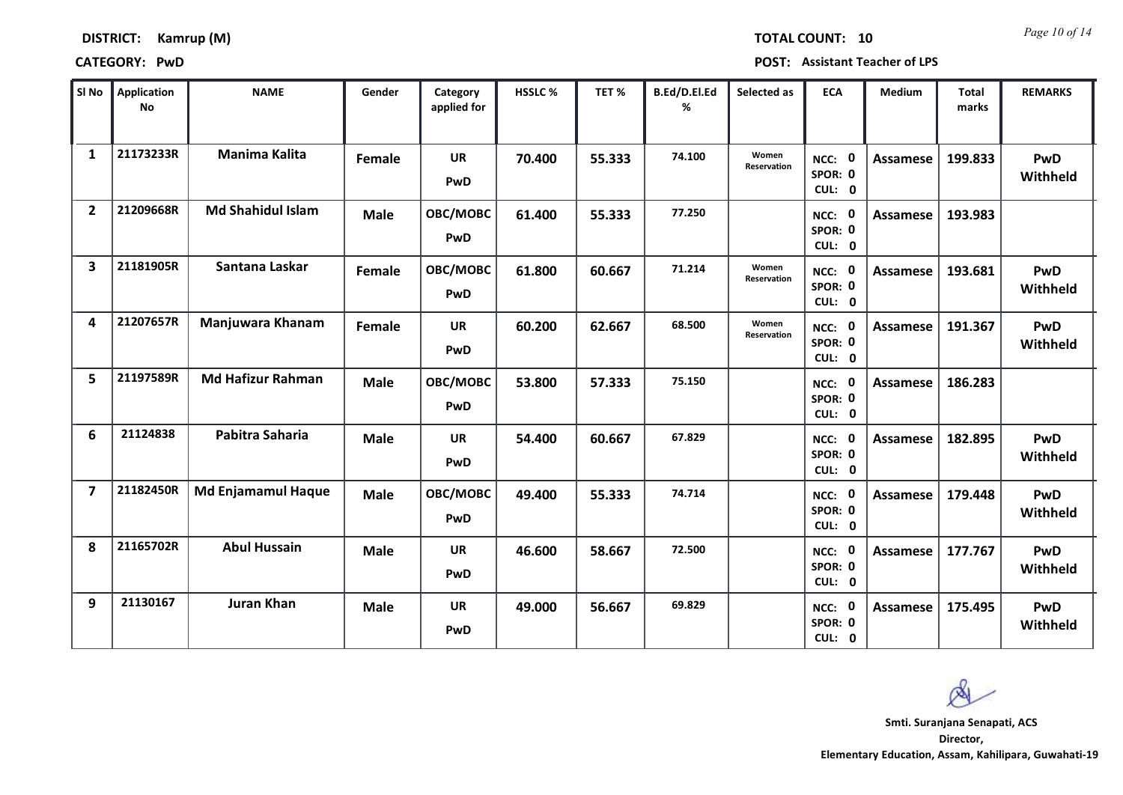| DISTRICT: | Kamrup (M) |  |
|-----------|------------|--|
|-----------|------------|--|

*Page 10 of 14* **TOTAL COUNT: 10**

**CATEGORY: PwD POST: Assistant Teacher of LPS**

| SI <sub>No</sub>        | Application<br><b>No</b> | <b>NAME</b>               | Gender      | Category<br>applied for | <b>HSSLC %</b> | TET%   | B.Ed/D.El.Ed<br>% | Selected as                 | <b>ECA</b>                  | <b>Medium</b>   | <b>Total</b><br>marks | <b>REMARKS</b>  |
|-------------------------|--------------------------|---------------------------|-------------|-------------------------|----------------|--------|-------------------|-----------------------------|-----------------------------|-----------------|-----------------------|-----------------|
| $\mathbf{1}$            | 21173233R                | <b>Manima Kalita</b>      | Female      | <b>UR</b><br>PwD        | 70.400         | 55.333 | 74.100            | Women<br>Reservation        | NCC: 0<br>SPOR: 0<br>CUL: 0 | Assamese        | 199.833               | PwD<br>Withheld |
| $\overline{2}$          | 21209668R                | <b>Md Shahidul Islam</b>  | <b>Male</b> | OBC/MOBC<br>PwD         | 61.400         | 55.333 | 77.250            |                             | NCC: 0<br>SPOR: 0<br>CUL: 0 | Assamese        | 193.983               |                 |
| $\overline{\mathbf{3}}$ | 21181905R                | Santana Laskar            | Female      | <b>OBC/MOBC</b><br>PwD  | 61.800         | 60.667 | 71.214            | Women<br><b>Reservation</b> | NCC: 0<br>SPOR: 0<br>CUL: 0 | Assamese        | 193.681               | PwD<br>Withheld |
| 4                       | 21207657R                | Manjuwara Khanam          | Female      | UR<br>PwD               | 60.200         | 62.667 | 68.500            | Women<br>Reservation        | NCC: 0<br>SPOR: 0<br>CUL: 0 | <b>Assamese</b> | 191.367               | PwD<br>Withheld |
| 5                       | 21197589R                | <b>Md Hafizur Rahman</b>  | <b>Male</b> | OBC/MOBC<br><b>PwD</b>  | 53.800         | 57.333 | 75.150            |                             | NCC: 0<br>SPOR: 0<br>CUL: 0 | Assamese        | 186.283               |                 |
| 6                       | 21124838                 | Pabitra Saharia           | <b>Male</b> | <b>UR</b><br>PwD        | 54.400         | 60.667 | 67.829            |                             | NCC: 0<br>SPOR: 0<br>CUL: 0 | Assamese        | 182.895               | PwD<br>Withheld |
| $\overline{\mathbf{z}}$ | 21182450R                | <b>Md Enjamamul Haque</b> | <b>Male</b> | <b>OBC/MOBC</b><br>PwD  | 49.400         | 55.333 | 74.714            |                             | NCC: 0<br>SPOR: 0<br>CUL: 0 | Assamese        | 179.448               | PwD<br>Withheld |
| 8                       | 21165702R                | <b>Abul Hussain</b>       | <b>Male</b> | <b>UR</b><br>PwD        | 46.600         | 58.667 | 72.500            |                             | NCC: 0<br>SPOR: 0<br>CUL: 0 | Assamese        | 177.767               | PwD<br>Withheld |
| 9                       | 21130167                 | <b>Juran Khan</b>         | <b>Male</b> | UR<br>PwD               | 49.000         | 56.667 | 69.829            |                             | NCC: 0<br>SPOR: 0<br>CUL: 0 | Assamese        | 175.495               | PwD<br>Withheld |

**Director, Smti. Suranjana Senapati, ACS**

 $\alpha$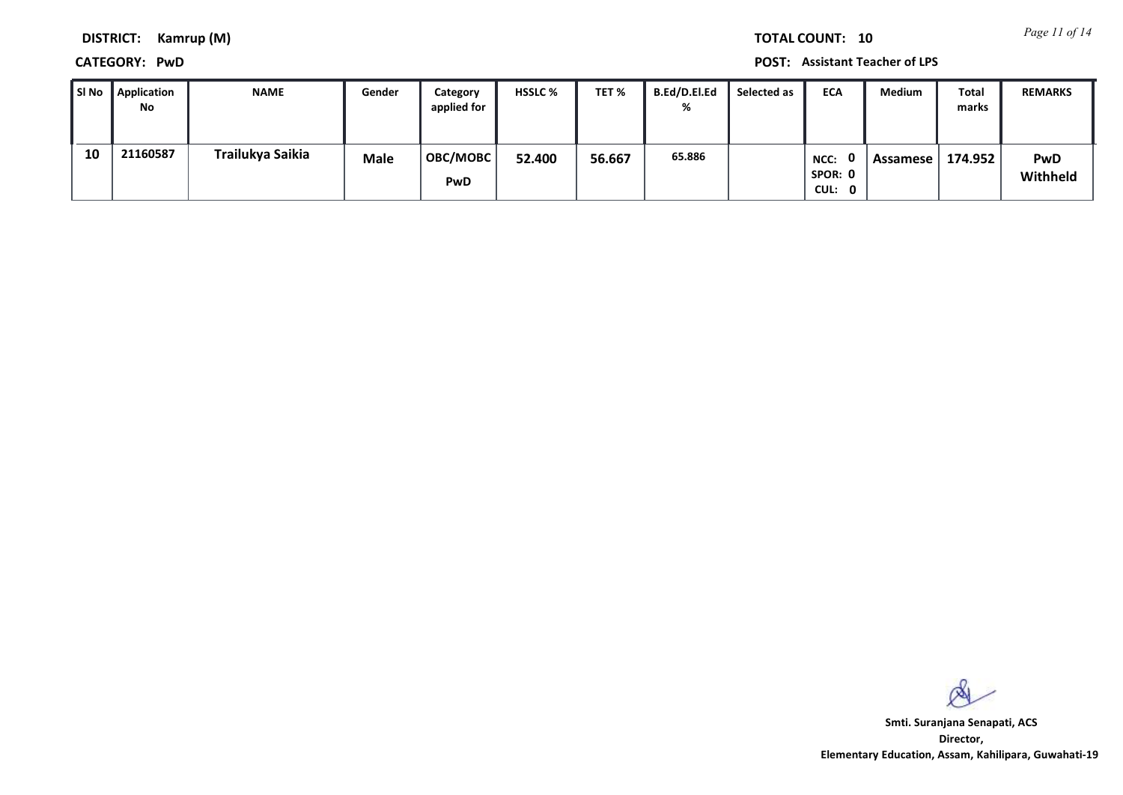*Page 11 of 14* **TOTAL COUNT: 10**

**DISTRICT: Kamrup (M)**

**CATEGORY: PwD POST: Assistant Teacher of LPS**

| SI No | <b>Application</b><br>No | <b>NAME</b>      | Gender      | Category<br>applied for       | <b>HSSLC %</b> | TET %  | <b>B.Ed/D.El.Ed</b><br>% | Selected as | <b>ECA</b>                | Medium   | Total<br>marks | <b>REMARKS</b>         |
|-------|--------------------------|------------------|-------------|-------------------------------|----------------|--------|--------------------------|-------------|---------------------------|----------|----------------|------------------------|
| 10    | 21160587                 | Trailukya Saikia | <b>Male</b> | <b>OBC/MOBC</b><br><b>PwD</b> | 52.400         | 56.667 | 65.886                   |             | NCC:<br>SPOR: 0<br>CUL: 0 | Assamese | 174.952        | <b>PwD</b><br>Withheld |

 $\infty$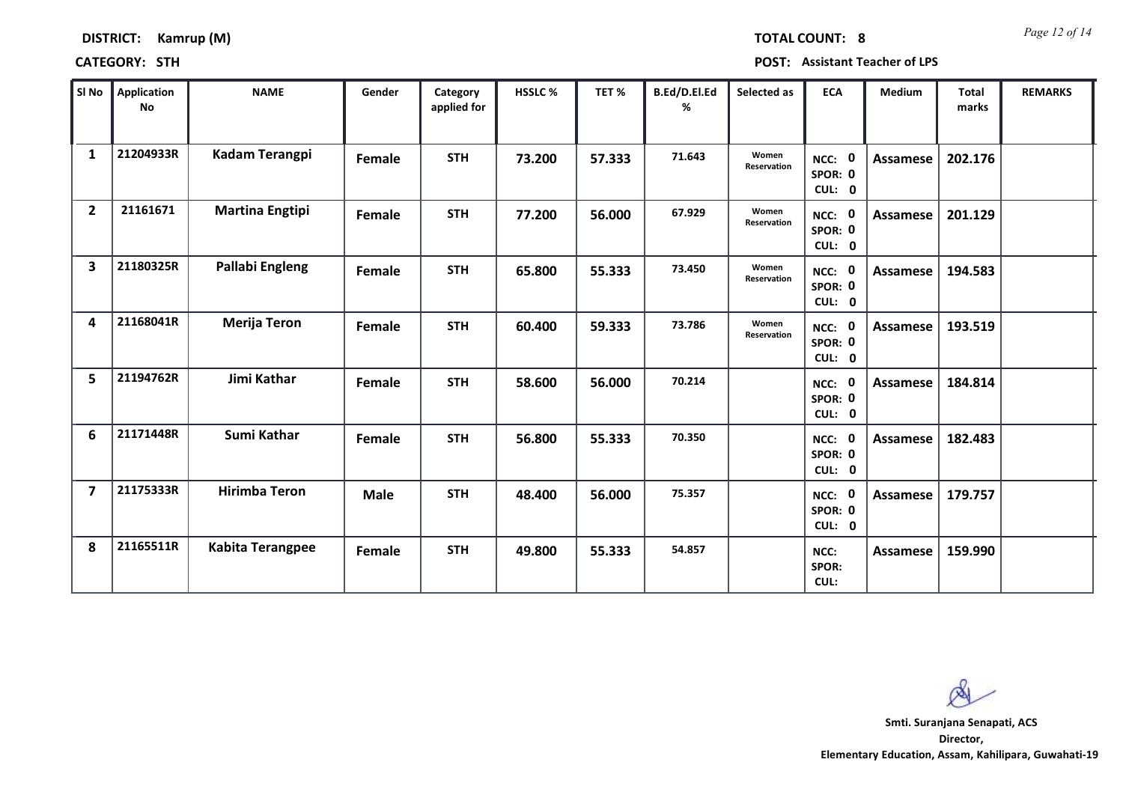|  | <b>DISTRICT:</b> | Kamrup (M) |  |  |
|--|------------------|------------|--|--|
|--|------------------|------------|--|--|

*Page 12 of 14* **TOTAL COUNT: 8**

**CATEGORY: STH POST: Assistant Teacher of LPS**

| SI No                   | <b>Application</b><br><b>No</b> | <b>NAME</b>             | Gender      | Category<br>applied for | HSSLC % | TET %  | B.Ed/D.El.Ed<br>% | Selected as          | <b>ECA</b>                  | <b>Medium</b> | <b>Total</b><br>marks | <b>REMARKS</b> |
|-------------------------|---------------------------------|-------------------------|-------------|-------------------------|---------|--------|-------------------|----------------------|-----------------------------|---------------|-----------------------|----------------|
| $\mathbf{1}$            | 21204933R                       | <b>Kadam Terangpi</b>   | Female      | <b>STH</b>              | 73.200  | 57.333 | 71.643            | Women<br>Reservation | NCC: 0<br>SPOR: 0<br>CUL: 0 | Assamese      | 202.176               |                |
| $\overline{2}$          | 21161671                        | <b>Martina Engtipi</b>  | Female      | <b>STH</b>              | 77.200  | 56.000 | 67.929            | Women<br>Reservation | NCC: 0<br>SPOR: 0<br>CUL: 0 | Assamese      | 201.129               |                |
| $\overline{\mathbf{3}}$ | 21180325R                       | Pallabi Engleng         | Female      | <b>STH</b>              | 65.800  | 55.333 | 73.450            | Women<br>Reservation | NCC: 0<br>SPOR: 0<br>CUL: 0 | Assamese      | 194.583               |                |
| 4                       | 21168041R                       | <b>Merija Teron</b>     | Female      | <b>STH</b>              | 60.400  | 59.333 | 73.786            | Women<br>Reservation | NCC: 0<br>SPOR: 0<br>CUL: 0 | Assamese      | 193.519               |                |
| 5                       | 21194762R                       | Jimi Kathar             | Female      | <b>STH</b>              | 58.600  | 56.000 | 70.214            |                      | NCC: 0<br>SPOR: 0<br>CUL: 0 | Assamese      | 184.814               |                |
| 6                       | 21171448R                       | Sumi Kathar             | Female      | <b>STH</b>              | 56.800  | 55.333 | 70.350            |                      | NCC: 0<br>SPOR: 0<br>CUL: 0 | Assamese      | 182.483               |                |
| $\overline{7}$          | 21175333R                       | <b>Hirimba Teron</b>    | <b>Male</b> | <b>STH</b>              | 48.400  | 56.000 | 75.357            |                      | NCC: 0<br>SPOR: 0<br>CUL: 0 | Assamese      | 179.757               |                |
| 8                       | 21165511R                       | <b>Kabita Terangpee</b> | Female      | <b>STH</b>              | 49.800  | 55.333 | 54.857            |                      | NCC:<br>SPOR:<br>CUL:       | Assamese      | 159.990               |                |

 $\infty$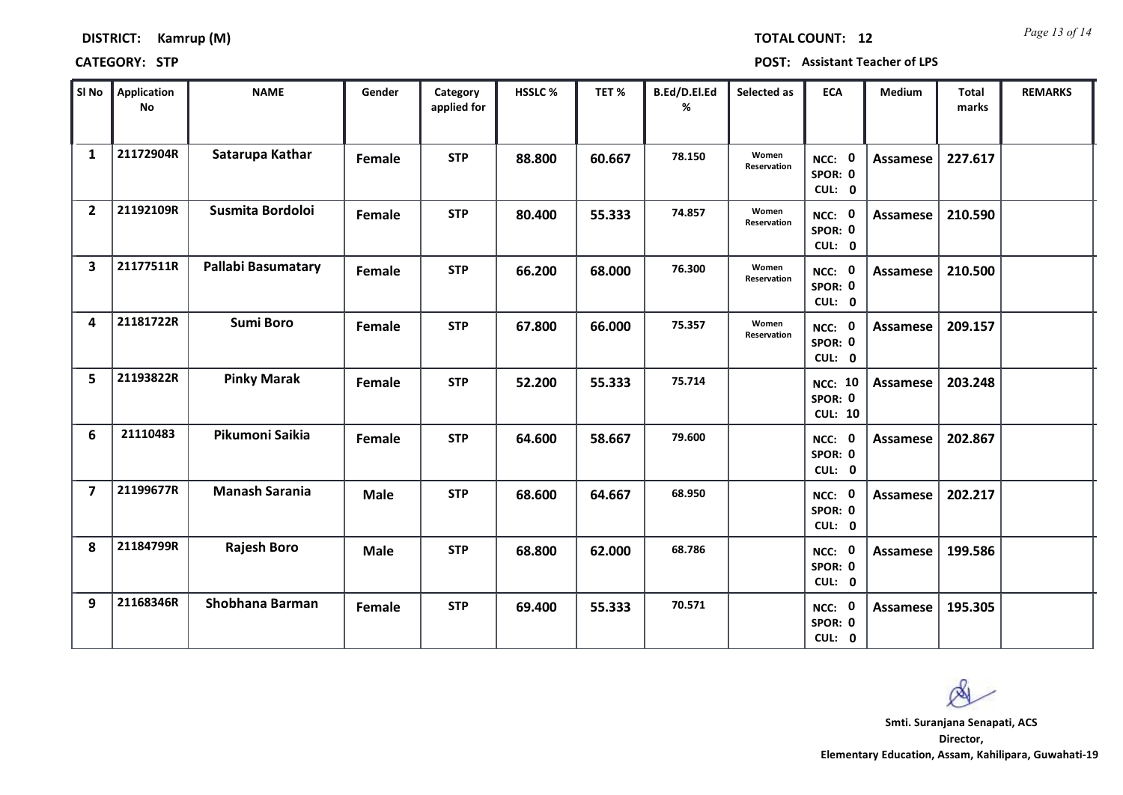| <b>DISTRICT:</b> | Kamrup (M) |  |
|------------------|------------|--|
|                  |            |  |

*Page 13 of 14* **TOTAL COUNT: 12**

**CATEGORY: STP POST: Assistant Teacher of LPS**

| SI No                   | <b>Application</b><br>No | <b>NAME</b>               | Gender      | Category<br>applied for | <b>HSSLC %</b> | TET %  | B.Ed/D.El.Ed<br>% | Selected as          | <b>ECA</b>                                  | <b>Medium</b>   | <b>Total</b><br>marks | <b>REMARKS</b> |
|-------------------------|--------------------------|---------------------------|-------------|-------------------------|----------------|--------|-------------------|----------------------|---------------------------------------------|-----------------|-----------------------|----------------|
| $\mathbf{1}$            | 21172904R                | Satarupa Kathar           | Female      | <b>STP</b>              | 88.800         | 60.667 | 78.150            | Women<br>Reservation | NCC: 0<br>SPOR: 0<br>CUL: 0                 | Assamese        | 227.617               |                |
| $\overline{2}$          | 21192109R                | Susmita Bordoloi          | Female      | <b>STP</b>              | 80.400         | 55.333 | 74.857            | Women<br>Reservation | NCC: 0<br>SPOR: 0<br>CUL: 0                 | <b>Assamese</b> | 210.590               |                |
| $\overline{\mathbf{3}}$ | 21177511R                | <b>Pallabi Basumatary</b> | Female      | <b>STP</b>              | 66.200         | 68.000 | 76.300            | Women<br>Reservation | NCC: 0<br>SPOR: 0<br>CUL: 0                 | Assamese        | 210.500               |                |
| 4                       | 21181722R                | <b>Sumi Boro</b>          | Female      | <b>STP</b>              | 67.800         | 66.000 | 75.357            | Women<br>Reservation | NCC: 0<br>SPOR: 0<br>CUL: 0                 | Assamese        | 209.157               |                |
| 5                       | 21193822R                | <b>Pinky Marak</b>        | Female      | <b>STP</b>              | 52.200         | 55.333 | 75.714            |                      | <b>NCC: 10</b><br>SPOR: 0<br><b>CUL: 10</b> | Assamese        | 203.248               |                |
| 6                       | 21110483                 | Pikumoni Saikia           | Female      | <b>STP</b>              | 64.600         | 58.667 | 79.600            |                      | NCC: 0<br>SPOR: 0<br>CUL: 0                 | Assamese        | 202.867               |                |
| $\overline{\mathbf{z}}$ | 21199677R                | <b>Manash Sarania</b>     | <b>Male</b> | <b>STP</b>              | 68.600         | 64.667 | 68.950            |                      | NCC: 0<br>SPOR: 0<br>CUL: 0                 | Assamese        | 202.217               |                |
| 8                       | 21184799R                | <b>Rajesh Boro</b>        | <b>Male</b> | <b>STP</b>              | 68.800         | 62.000 | 68.786            |                      | NCC: 0<br>SPOR: 0<br>CUL: 0                 | <b>Assamese</b> | 199.586               |                |
| 9                       | 21168346R                | <b>Shobhana Barman</b>    | Female      | <b>STP</b>              | 69.400         | 55.333 | 70.571            |                      | NCC: 0<br>SPOR: 0<br>CUL: 0                 | Assamese        | 195.305               |                |

 $\infty$